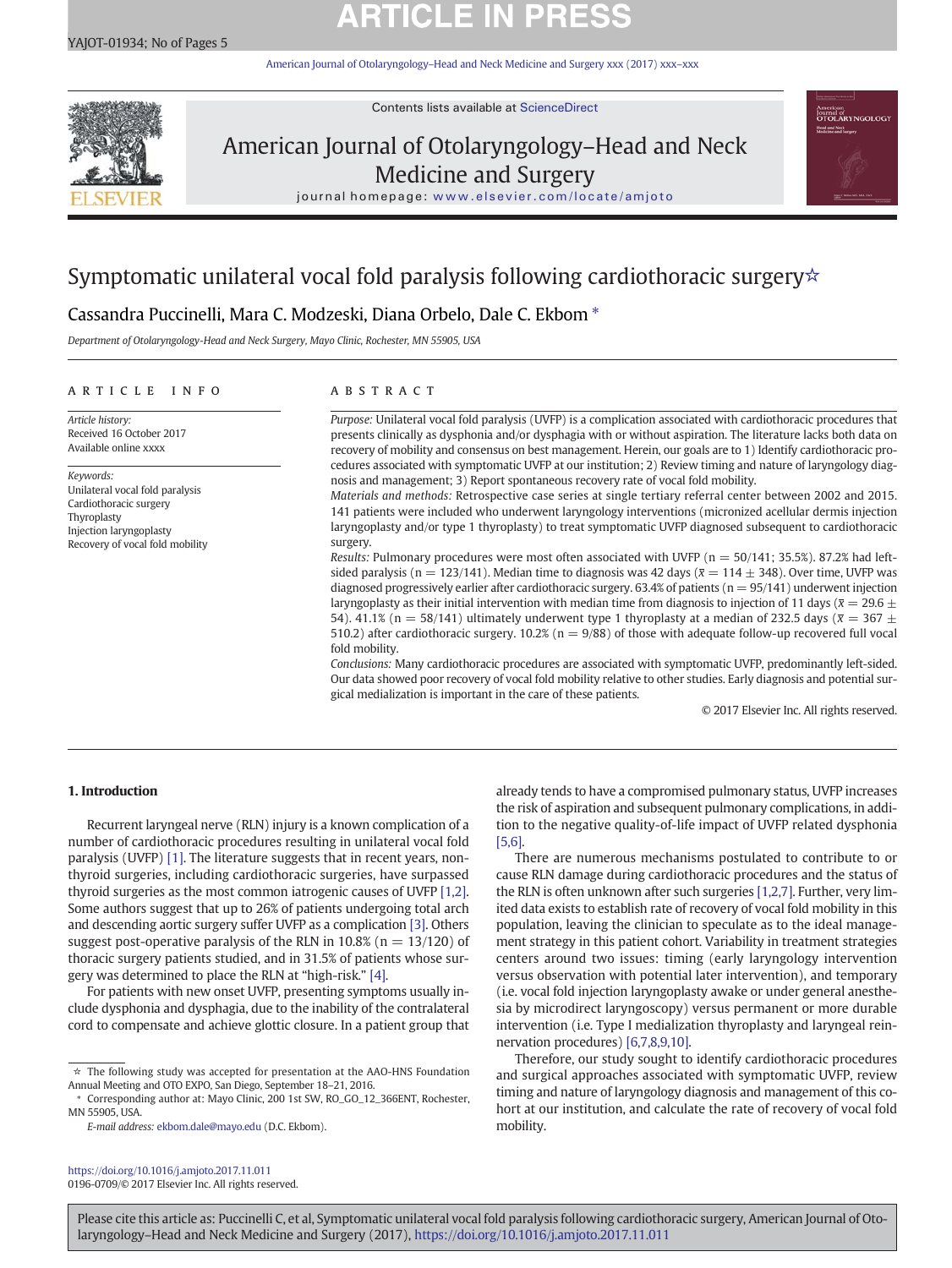# **ARTICLE IN PRESS**

American Journal of Otolaryngology–[Head and Neck Medicine and Surgery xxx \(2017\) xxx](https://doi.org/10.1016/j.amjoto.2017.11.011)–xxx



Contents lists available at ScienceDirect

# American Journal of Otolaryngology–Head and Neck Medicine and Surgery



journal homepage: <www.elsevier.com/locate/amjoto>

# Symptomatic unilateral vocal fold paralysis following cardiothoracic surgery☆

# Cassandra Puccinelli, Mara C. Modzeski, Diana Orbelo, Dale C. Ekbom  $*$

Department of Otolaryngology-Head and Neck Surgery, Mayo Clinic, Rochester, MN 55905, USA

### article info abstract

Article history: Received 16 October 2017 Available online xxxx

Keywords: Unilateral vocal fold paralysis Cardiothoracic surgery **Thyroplasty** Injection laryngoplasty Recovery of vocal fold mobility

Purpose: Unilateral vocal fold paralysis (UVFP) is a complication associated with cardiothoracic procedures that presents clinically as dysphonia and/or dysphagia with or without aspiration. The literature lacks both data on recovery of mobility and consensus on best management. Herein, our goals are to 1) Identify cardiothoracic procedures associated with symptomatic UVFP at our institution; 2) Review timing and nature of laryngology diagnosis and management; 3) Report spontaneous recovery rate of vocal fold mobility.

Materials and methods: Retrospective case series at single tertiary referral center between 2002 and 2015. 141 patients were included who underwent laryngology interventions (micronized acellular dermis injection laryngoplasty and/or type 1 thyroplasty) to treat symptomatic UVFP diagnosed subsequent to cardiothoracic surgery.

Results: Pulmonary procedures were most often associated with UVFP ( $n = 50/141$ ; 35.5%). 87.2% had leftsided paralysis (n = 123/141). Median time to diagnosis was 42 days ( $\bar{x}$  = 114  $\pm$  348). Over time, UVFP was diagnosed progressively earlier after cardiothoracic surgery. 63.4% of patients ( $n = 95/141$ ) underwent injection laryngoplasty as their initial intervention with median time from diagnosis to injection of 11 days ( $\bar{x} = 29.6 \pm$ 54). 41.1% (n = 58/141) ultimately underwent type 1 thyroplasty at a median of 232.5 days ( $\bar{x}$  = 367  $\pm$ 510.2) after cardiothoracic surgery. 10.2% ( $n = 9/88$ ) of those with adequate follow-up recovered full vocal fold mobility.

Conclusions: Many cardiothoracic procedures are associated with symptomatic UVFP, predominantly left-sided. Our data showed poor recovery of vocal fold mobility relative to other studies. Early diagnosis and potential surgical medialization is important in the care of these patients.

© 2017 Elsevier Inc. All rights reserved.

## 1. Introduction

Recurrent laryngeal nerve (RLN) injury is a known complication of a number of cardiothoracic procedures resulting in unilateral vocal fold paralysis (UVFP) [\[1\].](#page--1-0) The literature suggests that in recent years, nonthyroid surgeries, including cardiothoracic surgeries, have surpassed thyroid surgeries as the most common iatrogenic causes of UVFP [\[1,2\].](#page--1-0) Some authors suggest that up to 26% of patients undergoing total arch and descending aortic surgery suffer UVFP as a complication [\[3\]](#page--1-0). Others suggest post-operative paralysis of the RLN in 10.8% ( $n = 13/120$ ) of thoracic surgery patients studied, and in 31.5% of patients whose surgery was determined to place the RLN at "high-risk." [\[4\]](#page--1-0).

For patients with new onset UVFP, presenting symptoms usually include dysphonia and dysphagia, due to the inability of the contralateral cord to compensate and achieve glottic closure. In a patient group that

E-mail address: [ekbom.dale@mayo.edu](mailto:ekbom.dale@mayo.edu) (D.C. Ekbom).

<https://doi.org/10.1016/j.amjoto.2017.11.011> 0196-0709/© 2017 Elsevier Inc. All rights reserved. already tends to have a compromised pulmonary status, UVFP increases the risk of aspiration and subsequent pulmonary complications, in addition to the negative quality-of-life impact of UVFP related dysphonia [\[5,6\].](#page--1-0)

There are numerous mechanisms postulated to contribute to or cause RLN damage during cardiothoracic procedures and the status of the RLN is often unknown after such surgeries [\[1,2,7\].](#page--1-0) Further, very limited data exists to establish rate of recovery of vocal fold mobility in this population, leaving the clinician to speculate as to the ideal management strategy in this patient cohort. Variability in treatment strategies centers around two issues: timing (early laryngology intervention versus observation with potential later intervention), and temporary (i.e. vocal fold injection laryngoplasty awake or under general anesthesia by microdirect laryngoscopy) versus permanent or more durable intervention (i.e. Type I medialization thyroplasty and laryngeal reinnervation procedures) [\[6,7,8,9,10\].](#page--1-0)

Therefore, our study sought to identify cardiothoracic procedures and surgical approaches associated with symptomatic UVFP, review timing and nature of laryngology diagnosis and management of this cohort at our institution, and calculate the rate of recovery of vocal fold mobility.

Please cite this article as: Puccinelli C, et al, Symptomatic unilateral vocal fold paralysis following cardiothoracic surgery, American Journal of Otolaryngology–Head and Neck Medicine and Surgery (2017), <https://doi.org/10.1016/j.amjoto.2017.11.011>

 $\star\,$  The following study was accepted for presentation at the AAO-HNS Foundation Annual Meeting and OTO EXPO, San Diego, September 18–21, 2016.

Corresponding author at: Mayo Clinic, 200 1st SW, RO\_GO\_12\_366ENT, Rochester, MN 55905, USA.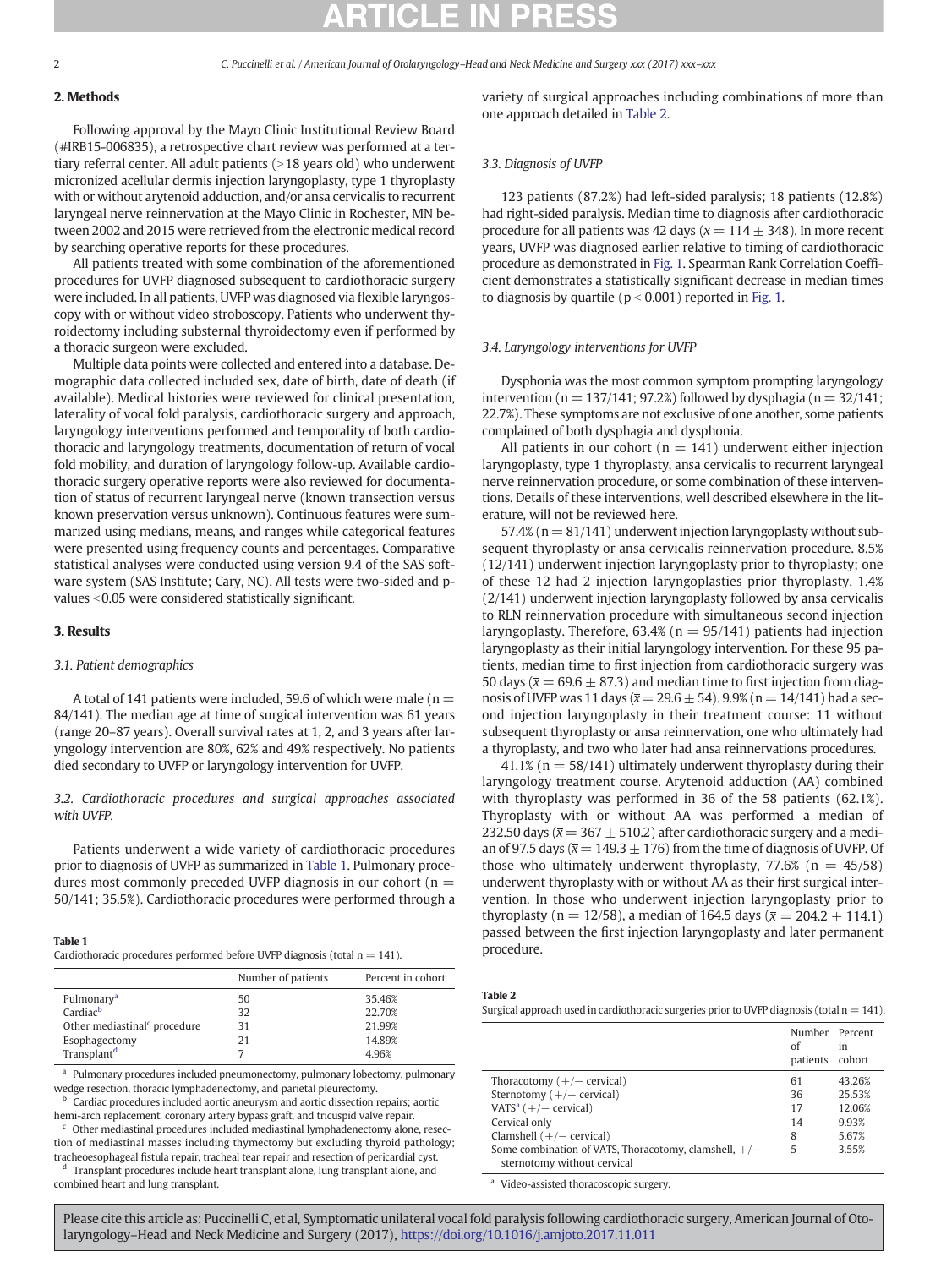## 2. Methods

Following approval by the Mayo Clinic Institutional Review Board (#IRB15-006835), a retrospective chart review was performed at a tertiary referral center. All adult patients  $(>18$  years old) who underwent micronized acellular dermis injection laryngoplasty, type 1 thyroplasty with or without arytenoid adduction, and/or ansa cervicalis to recurrent laryngeal nerve reinnervation at the Mayo Clinic in Rochester, MN between 2002 and 2015 were retrieved from the electronic medical record by searching operative reports for these procedures.

All patients treated with some combination of the aforementioned procedures for UVFP diagnosed subsequent to cardiothoracic surgery were included. In all patients, UVFP was diagnosed via flexible laryngoscopy with or without video stroboscopy. Patients who underwent thyroidectomy including substernal thyroidectomy even if performed by a thoracic surgeon were excluded.

Multiple data points were collected and entered into a database. Demographic data collected included sex, date of birth, date of death (if available). Medical histories were reviewed for clinical presentation, laterality of vocal fold paralysis, cardiothoracic surgery and approach, laryngology interventions performed and temporality of both cardiothoracic and laryngology treatments, documentation of return of vocal fold mobility, and duration of laryngology follow-up. Available cardiothoracic surgery operative reports were also reviewed for documentation of status of recurrent laryngeal nerve (known transection versus known preservation versus unknown). Continuous features were summarized using medians, means, and ranges while categorical features were presented using frequency counts and percentages. Comparative statistical analyses were conducted using version 9.4 of the SAS software system (SAS Institute; Cary, NC). All tests were two-sided and pvalues < 0.05 were considered statistically significant.

### 3. Results

## 3.1. Patient demographics

A total of 141 patients were included, 59.6 of which were male ( $n =$ 84/141). The median age at time of surgical intervention was 61 years (range 20–87 years). Overall survival rates at 1, 2, and 3 years after laryngology intervention are 80%, 62% and 49% respectively. No patients died secondary to UVFP or laryngology intervention for UVFP.

## 3.2. Cardiothoracic procedures and surgical approaches associated with UVFP.

Patients underwent a wide variety of cardiothoracic procedures prior to diagnosis of UVFP as summarized in Table 1. Pulmonary procedures most commonly preceded UVFP diagnosis in our cohort ( $n =$ 50/141; 35.5%). Cardiothoracic procedures were performed through a

procedure. Table 1 Cardiothoracic procedures performed before UVFP diagnosis (total n = 141).

|                                          | Number of patients | Percent in cohort |
|------------------------------------------|--------------------|-------------------|
| Pulmonary <sup>a</sup>                   | 50                 | 35.46%            |
| Cardiac <sup>b</sup>                     | 32                 | 22.70%            |
| Other mediastinal <sup>c</sup> procedure | 31                 | 21.99%            |
| Esophagectomy                            | 21                 | 14.89%            |
| Transplant <sup>d</sup>                  |                    | 4.96%             |

<sup>a</sup> Pulmonary procedures included pneumonectomy, pulmonary lobectomy, pulmonary wedge resection, thoracic lymphadenectomy, and parietal pleurectomy.

<sup>b</sup> Cardiac procedures included aortic aneurysm and aortic dissection repairs; aortic hemi-arch replacement, coronary artery bypass graft, and tricuspid valve repair.

 $c$  Other mediastinal procedures included mediastinal lymphadenectomy alone, resection of mediastinal masses including thymectomy but excluding thyroid pathology; tracheoesophageal fistula repair, tracheal tear repair and resection of pericardial cyst.

<sup>d</sup> Transplant procedures include heart transplant alone, lung transplant alone, and combined heart and lung transplant.

variety of surgical approaches including combinations of more than one approach detailed in Table 2.

### 3.3. Diagnosis of UVFP

123 patients (87.2%) had left-sided paralysis; 18 patients (12.8%) had right-sided paralysis. Median time to diagnosis after cardiothoracic procedure for all patients was 42 days ( $\bar{x}$  = 114  $\pm$  348). In more recent years, UVFP was diagnosed earlier relative to timing of cardiothoracic procedure as demonstrated in [Fig. 1](#page--1-0). Spearman Rank Correlation Coefficient demonstrates a statistically significant decrease in median times to diagnosis by quartile ( $p < 0.001$ ) reported in [Fig. 1](#page--1-0).

### 3.4. Laryngology interventions for UVFP

Dysphonia was the most common symptom prompting laryngology intervention ( $n = 137/141$ ; 97.2%) followed by dysphagia ( $n = 32/141$ ; 22.7%). These symptoms are not exclusive of one another, some patients complained of both dysphagia and dysphonia.

All patients in our cohort ( $n = 141$ ) underwent either injection laryngoplasty, type 1 thyroplasty, ansa cervicalis to recurrent laryngeal nerve reinnervation procedure, or some combination of these interventions. Details of these interventions, well described elsewhere in the literature, will not be reviewed here.

57.4% ( $n = 81/141$ ) underwent injection laryngoplasty without subsequent thyroplasty or ansa cervicalis reinnervation procedure. 8.5% (12/141) underwent injection laryngoplasty prior to thyroplasty; one of these 12 had 2 injection laryngoplasties prior thyroplasty. 1.4% (2/141) underwent injection laryngoplasty followed by ansa cervicalis to RLN reinnervation procedure with simultaneous second injection laryngoplasty. Therefore, 63.4% ( $n = 95/141$ ) patients had injection laryngoplasty as their initial laryngology intervention. For these 95 patients, median time to first injection from cardiothoracic surgery was 50 days ( $\bar{x}$  = 69.6  $\pm$  87.3) and median time to first injection from diagnosis of UVFP was 11 days ( $\bar{x}$  = 29.6  $\pm$  54). 9.9% (n = 14/141) had a second injection laryngoplasty in their treatment course: 11 without subsequent thyroplasty or ansa reinnervation, one who ultimately had a thyroplasty, and two who later had ansa reinnervations procedures.

41.1% ( $n = 58/141$ ) ultimately underwent thyroplasty during their laryngology treatment course. Arytenoid adduction (AA) combined with thyroplasty was performed in 36 of the 58 patients (62.1%). Thyroplasty with or without AA was performed a median of 232.50 days ( $\bar{x}$  = 367  $\pm$  510.2) after cardiothoracic surgery and a median of 97.5 days ( $\bar{x}$  = 149.3  $\pm$  176) from the time of diagnosis of UVFP. Of those who ultimately underwent thyroplasty,  $77.6\%$  (n = 45/58) underwent thyroplasty with or without AA as their first surgical intervention. In those who underwent injection laryngoplasty prior to thyroplasty (n = 12/58), a median of 164.5 days ( $\bar{x}$  = 204.2  $\pm$  114.1) passed between the first injection laryngoplasty and later permanent

Table 2

Surgical approach used in cardiothoracic surgeries prior to UVFP diagnosis (total  $n = 141$ ).

|                                                         | Number Percent<br>of<br>patients | in<br>cohort |
|---------------------------------------------------------|----------------------------------|--------------|
| Thoracotomy $(+/-$ cervical)                            | 61                               | 43.26%       |
| Sternotomy $(+/-$ cervical)                             | 36                               | 25.53%       |
| VATS <sup>a</sup> $(+/-$ cervical)                      | 17                               | 12.06%       |
| Cervical only                                           | 14                               | 9.93%        |
| Clamshell $(+/-$ cervical)                              | 8                                | 5.67%        |
| Some combination of VATS, Thoracotomy, clamshell, $+/-$ | 5                                | 3.55%        |
| sternotomy without cervical                             |                                  |              |

<sup>a</sup> Video-assisted thoracoscopic surgery.

Please cite this article as: Puccinelli C, et al, Symptomatic unilateral vocal fold paralysis following cardiothoracic surgery, American Journal of Otolaryngology–Head and Neck Medicine and Surgery (2017), <https://doi.org/10.1016/j.amjoto.2017.11.011>